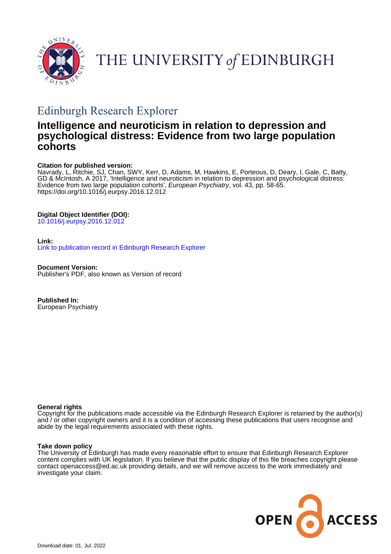

THE UNIVERSITY of EDINBURGH

# Edinburgh Research Explorer

# **Intelligence and neuroticism in relation to depression and psychological distress: Evidence from two large population cohorts**

# **Citation for published version:**

Navrady, L, Ritchie, SJ, Chan, SWY, Kerr, D, Adams, M, Hawkins, E, Porteous, D, Deary, I, Gale, C, Batty, GD & McIntosh, A 2017, 'Intelligence and neuroticism in relation to depression and psychological distress: Evidence from two large population cohorts', European Psychiatry, vol. 43, pp. 58-65. <https://doi.org/10.1016/j.eurpsy.2016.12.012>

# **Digital Object Identifier (DOI):**

[10.1016/j.eurpsy.2016.12.012](https://doi.org/10.1016/j.eurpsy.2016.12.012)

# **Link:**

[Link to publication record in Edinburgh Research Explorer](https://www.research.ed.ac.uk/en/publications/ddf105a1-4431-4634-b1c5-ebbb4e40fbca)

**Document Version:** Publisher's PDF, also known as Version of record

**Published In:** European Psychiatry

# **General rights**

Copyright for the publications made accessible via the Edinburgh Research Explorer is retained by the author(s) and / or other copyright owners and it is a condition of accessing these publications that users recognise and abide by the legal requirements associated with these rights.

# **Take down policy**

The University of Edinburgh has made every reasonable effort to ensure that Edinburgh Research Explorer content complies with UK legislation. If you believe that the public display of this file breaches copyright please contact openaccess@ed.ac.uk providing details, and we will remove access to the work immediately and investigate your claim.

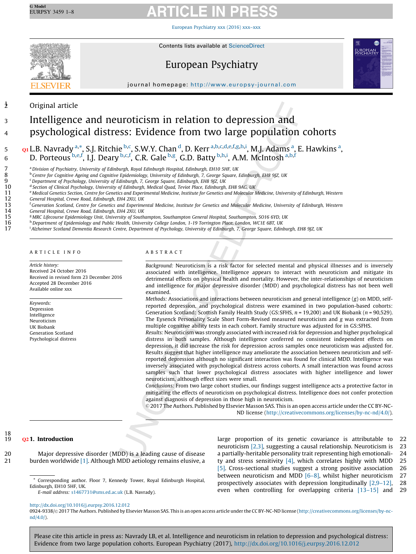European [Psychiatry](http://dx.doi.org/10.1016/j.eurpsy.2016.12.012) xxx (2016) xxx–xxx



Contents lists available at [ScienceDirect](http://www.sciencedirect.com/science/journal/09249338)

# European Psychiatry



journal homepage: http://www.europsy-journal.com

# 12 Original article

# <sup>3</sup> Intelligence and neuroticism in relation to depression and <sup>4</sup> psychological distress: Evidence from two large population cohorts

5 **Q1 L.B. Navrady <sup>a,\*</sup>, S.J. Ritchie <sup>b,c</sup>, S.W.Y. Chan <sup>d</sup>, D. Kerr <sup>a,b,c,d,e,f,g,h,i</sup>, M.J. Adams <sup>a</sup>, E. Hawkins <sup>a</sup>,** 6 D. Porteous <sup>b,e,f</sup>, I.J. Deary <sup>b,c,f</sup>, C.R. Gale <sup>b,g</sup>, G.D. Batty <sup>b,h,i</sup>, A.M. McIntosh <sup>a,b,f</sup>

<sup>a</sup> Division of Psychiatry, University of Edinburgh, Royal Edinburgh Hospital, Edinburgh, EH10 5HF, UK<br>8 <sup>b</sup> Centre for Cognitive Ageing and Cognitive Epidemiology, University of Edinburgh, 7, George Square,

<sup>b</sup> Centre for Cognitive Ageing and Cognitive Epidemiology, University of Edinburgh, 7, George Square, Edinburgh, EH8 9JZ, UK<br><sup>C</sup> Department of Psychology, University of Edinburgh, 7, George Square, Edinburgh, EH8 9JZ, UK

9 <sup>c</sup>Department of Psychology, University of Edinburgh, 7, George Square, Edinburgh, EH8 9JZ, UK<br>10 <sup>d</sup> Section of Clinical Psychology, University of Edinburgh, Medical Quad, Teviot Place, Edinburgh

<sup>d</sup> Section of Clinical Psychology, University of Edinburgh, Medical Quad, Teviot Place, Edinburgh, EH8 9AG, UK<br><sup>e</sup> Medical Genetics Section, Centre for Genetics and Experimental Medicine, Institute for Genetics and Molecu

<sup>e</sup> Medical Genetics Section, Centre for Genetics and Experimental Medicine, Institute for Genetics and Molecular Medicine, University of Edinburgh, Western<br>12 General Hospital, Crewe Road, Edinburgh, EH4 2XU, UK General Hospital, Crewe Road, Edinburgh, EH4 2XU, UK

<sup>f</sup> Generation Scotland, Centre for Genetics and Experimental Medicine, Institute for Genetics and Molecular Medicine, University of Edinburgh, Western

14 General Hospital, Crewe Road, Edinburgh, EH4 2XU, UK

<sup>g</sup> MRC Lifecourse Epidemiology Unit, University of Southampton, Southampton General Hospital, Southampton, SO16 6YD, UK<br>16 h Department of Epidemiology and Public Health, University College London, 1-19 Torrington Place,

<sup>h</sup> Department of Epidemiology and Public Health, University College London, 1-19 Torrington Place, London, WC1E 6BT, UK

<sup>i</sup> Alzheimer Scotland Dementia Research Centre, Department of Psychology, University of Edinburgh, 7, George Square, Edinburgh, EH8 9JZ, UK

### A R T I C L E I N F O

Article history: Received 24 October 2016 Received in revised form 23 December 2016 Accepted 28 December 2016 Available online xxx

Keywords: Depression Intelligence Neuroticism UK Biobank Generation Scotland Psychological distress

# A B S T R A C T

Background: Neuroticism is a risk factor for selected mental and physical illnesses and is inversely associated with intelligence. Intelligence appears to interact with neuroticism and mitigate its detrimental effects on physical health and mortality. However, the inter-relationships of neuroticism and intelligence for major depressive disorder (MDD) and psychological distress has not been well examined.

Methods: Associations and interactions between neuroticism and general intelligence (g) on MDD, selfreported depression, and psychological distress were examined in two population-based cohorts: Generation Scotland: Scottish Family Health Study (GS:SFHS,  $n = 19,200$ ) and UK Biobank ( $n = 90,529$ ). The Eysenck Personality Scale Short Form-Revised measured neuroticism and g was extracted from multiple cognitive ability tests in each cohort. Family structure was adjusted for in GS:SFHS.

Results: Neuroticism was strongly associated with increased risk for depression and higher psychological distress in both samples. Although intelligence conferred no consistent independent effects on depression, it did increase the risk for depression across samples once neuroticism was adjusted for. Results suggest that higher intelligence may ameliorate the association between neuroticism and selfreported depression although no significant interaction was found for clinical MDD. Intelligence was inversely associated with psychological distress across cohorts. A small interaction was found across samples such that lower psychological distress associates with higher intelligence and lower neuroticism, although effect sizes were small.

Conclusions: From two large cohort studies, our findings suggest intelligence acts a protective factor in mitigating the effects of neuroticism on psychological distress. Intelligence does not confer protection against diagnosis of depression in those high in neuroticism.

-<sup>C</sup> 2017 The Authors. Published by Elsevier Masson SAS. This is an open access article under the CC BY-NC-ND license [\(http://creativecommons.org/licenses/by-nc-nd/4.0/](http://creativecommons.org/licenses/by-nc-nd/4.0/)).

# $\frac{18}{19}$

# 021. Introduction

20 Major depressive disorder (MDD) is a leading cause of disease 21 burden worldwide [\[1\]](#page-7-0). Although MDD aetiology remains elusive, a

> Corresponding author. Floor 7, Kennedy Tower, Royal Edinburgh Hospital, Edinburgh, EH10 5HF, UK.

E-mail address: [s1467731@sms.ed.ac.uk](mailto:s1467731@sms.ed.ac.uk) (L.B. Navrady).

large proportion of its genetic covariance is attributable to 22 neuroticism [\[2,3\],](#page-7-0) suggesting a causal relationship. Neuroticism is 23 a partially-heritable personality trait representing high emotionali- 24 ty and stress sensitivity  $[4]$ , which correlates highly with MDD 25 [\[5\]](#page-7-0). Cross-sectional studies suggest a strong positive association 26 between neuroticism and MDD  $[6-8]$ , whilst higher neuroticism 27 prospectively associates with depression longitudinally [\[2,9–12\],](#page-7-0) 28 even when controlling for overlapping criteria [\[13–15\]](#page-7-0) and 29

<http://dx.doi.org/10.1016/j.eurpsy.2016.12.012>

<sup>0924-9338/© 2017</sup> The Authors. Published by Elsevier Masson SAS. This is an open access article under the CC BY-NC-ND license [\(http://creativecommons.org/licenses/by-nc](http://creativecommons.org/licenses/by-nc-nd/4.0/)[nd/4.0/](http://creativecommons.org/licenses/by-nc-nd/4.0/)).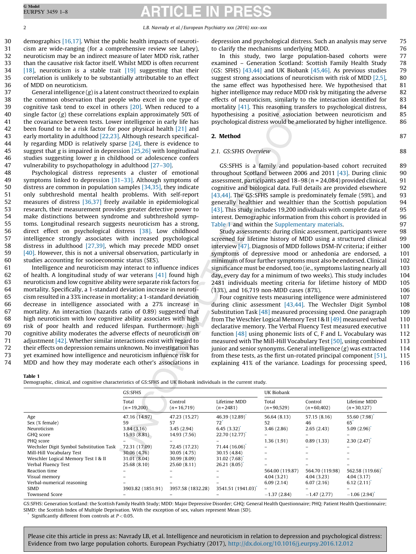30 demographics [\[16,17\].](#page-7-0) Whist the public health impacts of neuroti- cism are wide-ranging (for a comprehensive review see Lahey), neuroticism may be an indirect measure of later MDD risk, rather than the causative risk factor itself. Whilst MDD is often recurrent [\[18\]](#page-7-0), neuroticism is a stable trait [\[19\]](#page-7-0) suggesting that their correlation is unlikely to be substantially attributable to an effect of MDD on neuroticism.

37 General intelligence  $(g)$  is a latent construct theorized to explain the common observation that people who excel in one type of cognitive task tend to excel in others [\[20\]](#page-7-0). When reduced to a single factor (g) these correlations explain approximately 50% of the covariance between tests. Lower intelligence in early life has 42 been found to be a risk factor for poor physical health [\[21\]](#page-7-0) and early mortality in adulthood [\[22,23\]](#page-7-0). Although research specifical-44 ly regarding MDD is relatively sparse  $[24]$ , there is evidence to 45 suggest that g is impaired in depression [\[25,26\]](#page-7-0) with longitudinal studies suggesting lower g in childhood or adolescence confers vulnerability to psychopathology in adulthood [\[27–30\].](#page-7-0)

 Psychological distress represents a cluster of emotional 49 symptoms linked to depression [31-33]. Although symptoms of distress are common in population samples [\[34,35\]](#page-7-0), they indicate only subthreshold mental health problems. With self-report measures of distress [\[36,37\]](#page-7-0) freely available in epidemiological research, their measurement provides greater detective power to make distinctions between syndrome and subthreshold symp- toms. Longitudinal research suggests neuroticism has a strong, direct effect on psychological distress [\[38\].](#page-7-0) Low childhood intelligence strongly associates with increased psychological distress in adulthood [\[27,39\]](#page-7-0), which may precede MDD onset [\[40\]](#page-7-0). However, this is not a universal observation, particularly in studies accounting for socioeconomic status (SES).

 Intelligence and neuroticism may interact to influence indices 62 of health. A longitudinal study of war veterans  $[41]$  found high neuroticism and low cognitive ability were separate risk factors for mortality. Specifically, a 1-standard deviation increase in neuroti- cism resulted in a 33% increase in mortality; a 1-standard deviation decrease in intelligence associated with a 27% increase in mortality. An interaction (hazards ratio of 0.89) suggested that high neuroticism with low cognitive ability associates with high risk of poor health and reduced lifespan. Furthermore, high cognitive ability moderates the adverse effects of neuroticism on 71 adjustment [\[42\].](#page-7-0) Whether similar interactions exist with regard to their effects on depression remains unknown. No investigation has yet examined how intelligence and neuroticism influence risk for MDD and how they may moderate each other's associations in

depression and psychological distress. Such an analysis may serve 75 to clarify the mechanisms underlying MDD.  $76$ 

In this study, two large population-based cohorts were 77 examined – Generation Scotland: Scottish Family Health Study 78 (GS: SFHS) [\[43,44\]](#page-7-0) and UK Biobank [\[45,46\]](#page-7-0). As previous studies 79 suggest strong associations of neuroticism with risk of MDD [\[2,5\],](#page-7-0) 80 the same effect was hypothesised here. We hypothesised that 81 higher intelligence may reduce MDD risk by mitigating the adverse 82 effects of neuroticism, similarly to the interaction identified for 83 mortality [\[41\].](#page-7-0) This reasoning transfers to psychological distress, 84 hypothesising a positive association between neuroticism and 85 psychological distress would be ameliorated by higher intelligence. 86

#### **2. Method** 87

#### 2.1. GS:SFHS Overview 88

GS:SFHS is a family and population-based cohort recruited 89 throughout Scotland between 2006 and 2011 [\[43\].](#page-7-0) During clinic 90 assessment, participants aged  $18-98$  ( $n = 24,084$ ) provided clinical, 91 cognitive and biological data. Full details are provided elsewhere 92 [\[43,44\].](#page-7-0) The GS:SFHS sample is predominately female (59%), and 93 generally healthier and wealthier than the Scottish population 94 [\[43\]](#page-7-0). This study includes 19,200 individuals with complete data of 95 interest. Demographic information from this cohort is provided in 96 Table 1 and within the [Supplementary](#page-7-0) materials. 97

Study assessments: during clinic assessment, participants were 98 screened for lifetime history of MDD using a structured clinical 99 interview [\[47\].](#page-7-0) Diagnosis of MDD follows DSM-IV criteria; if either 100 symptoms of depressive mood or anhedonia are endorsed, a 101 minimum of four further symptoms must also be endorsed. Clinical 102 significance must be endorsed, too (ie., symptoms lasting nearly all 103 day, every day for a minimum of two weeks). This study includes 104 2481 individuals meeting criteria for lifetime history of MDD 105 (13%), and 16,719 non-MDD cases (87%). 106

Four cognitive tests measuring intelligence were administered 107 during clinic assessment [\[43,44\]](#page-7-0). The Wechsler Digit Symbol 108 Substitution Task [\[48\]](#page-7-0) measured processing speed. One paragraph 109 from The Weschler Logical Memory Test I & II <a>[\[49\]](#page-7-0)</a> measured verbal 110 declarative memory. The Verbal Fluency Test measured executive 111 function [\[48\]](#page-7-0) using phonemic lists of C, F and L. Vocabulary was 112 measured with The Mill-Hill Vocabulary Test [\[50\],](#page-7-0) using combined 113 junior and senior synonyms. General intelligence  $(g)$  was extracted 114 from these tests, as the first un-rotated principal component [\[51\],](#page-7-0) 115 explaining 41% of the variance. Loadings for processing speed, 116

Table 1

Demographic, clinical, and cognitive characteristics of GS:SFHS and UK Biobank individuals in the current study.

|                                         | GS:SFHS               |                         |                            | UK Biobank            |                         |                              |  |
|-----------------------------------------|-----------------------|-------------------------|----------------------------|-----------------------|-------------------------|------------------------------|--|
|                                         | Total<br>$(n=19,200)$ | Control<br>$(n=16,719)$ | Lifetime MDD<br>$(n=2481)$ | Total<br>$(n=90,529)$ | Control<br>$(n=60,402)$ | Lifetime MDD<br>$(n=30,127)$ |  |
| Age                                     | 47.16 (14.97)         | 47.23 (15.27)           | 46.39 (12.89)              | 56.64 (8.13)          | 57.15 (8.16)            | 55.60 (7.98)                 |  |
| Sex (% female)                          | 59                    | 57                      | $72^{\degree}$             | 52                    | 46                      | 65                           |  |
| Neuroticism                             | 3.84(3.16)            | 3.45(2.94)              | 6.45(3.32)                 |                       | 2.65(2.43)              | 5.09(2.96)                   |  |
| GHQ score                               | 15.93(8.81)           | 14.93 (7.56)            | 22.70 (12.77)              | 1.36(1.91)            |                         | 2.30(2.47)                   |  |
| PHO score                               |                       |                         |                            |                       | 0.89(1.33)              |                              |  |
| Wechsler Digit Symbol Substitution Task | 72.31 (17.09)         | 72.45 (17.23)           | 71.44 (16.06)              |                       |                         |                              |  |
| Mill-Hill Vocabulary Test               | 30.06 (4.76)          | 30.05(4.75)             | 30.15 (4.84)               |                       |                         |                              |  |
| Weschler Logical Memory Test I & II     | 31.01 (8.04)          | 30.99 (8.09)            | 31.02 (7.68)               |                       |                         |                              |  |
| Verbal Fluency Test                     | 25.68 (8.10)          | 25.60(8.11)             | 26.21(8.05)                |                       |                         |                              |  |
| Reaction time                           |                       |                         |                            | 564.00 (119.87)       | 564.70 (119.98)         | 562.58 (119.66)              |  |
| Visual memory                           |                       |                         |                            | 4.04(3.21)            | 4.04(3.23)              | 4.04(3.17)                   |  |
| Verbal-numerical reasoning              |                       |                         |                            | 6.09(2.14)            | 6.07(2.16)              | 6.12(2.11)                   |  |
| <b>SIMD</b>                             | 3903.82 (1851.91)     | 3957.58 (1832.28)       | 3541.51 (1941.03)          |                       |                         |                              |  |
| <b>Townsend Score</b>                   |                       |                         |                            | $-1.37(2.84)$         | $-1.47(2.77)$           | $-1.06(2.94)$                |  |

GS:SFHS: Generation Scotland: the Scottish Family Health Study; MDD: Major Depressive Disorder; GHQ: General Health Questionnaire; PHQ: Patient Health Questionnaire; SIMD: the Scottish Index of Multiple Deprivation. With the exception of sex, values represent Mean (SD).

Significantly different from controls at  $P < 0.05$ .

<span id="page-2-0"></span>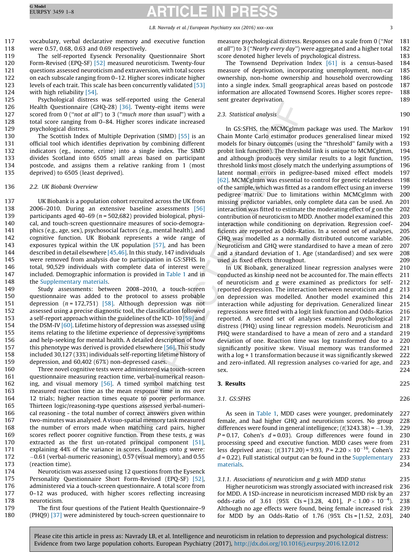117 vocabulary, verbal declarative memory and executive function 118 were 0.57, 0.68, 0.63 and 0.69 respectively.

 The self-reported Eysenck Personality Questionnaire Short Form-Revised (EPQ-SF) [\[52\]](#page-7-0) measured neuroticism. Twenty-four questions assessed neuroticism and extraversion, with total scores on each subscale ranging from 0–12. Higher scores indicate higher 123 levels of each trait. This scale has been concurrently validated [\[53\]](#page-7-0) with high reliability [\[54\]](#page-7-0).

 Psychological distress was self-reported using the General Health Questionnaire (GHQ-28) [\[36\]](#page-7-0). Twenty-eight items were 127 scored from 0 ("not at all") to 3 ("much more than usual") with a total score ranging from 0–84. Higher scores indicate increased psychological distress.

130 The Scottish Index of Multiple Deprivation (SIMD) [\[55\]](#page-7-0) is an official tool which identifies deprivation by combining different indicators (eg., income, crime) into a single index. The SIMD divides Scotland into 6505 small areas based on participant postcode, and assigns them a relative ranking from 1 (most deprived) to 6505 (least deprived).

# 136 2.2. UK Biobank Overview

 UK Biobank is a population cohort recruited across the UK from 2006–2010. During an extensive baseline assessments [\[56\]](#page-7-0) 139 participants aged 40–69 ( $n = 502,682$ ) provided biological, physi- cal, and touch-screen questionnaire measures of socio-demogra- phics (e.g., age, sex), psychosocial factors (e.g., mental health), and cognitive function. UK Biobank represents a wide range of exposures typical within the UK population [\[57\],](#page-7-0) and has been described in detail elsewhere [\[45,46\]](#page-7-0). In this study, 147 individuals were removed from analysis due to participation in GS:SFHS. In total, 90,529 individuals with complete data of interest were 147 included. Demographic information is provided in [Table](#page-2-0) 1 and in 148 the [Supplementary](#page-7-0) materials.

 Study assessments: between 2008–2010, a touch-screen questionnaire was added to the protocol to assess probable 151 depression  $(n = 172, 751)$  [\[58\]](#page-7-0). Although depression was not assessed using a precise diagnostic tool, the classification followed 153 a self-report approach within the guidelines of the ICD-10 [\[59\]](#page-7-0) and<br>154 the DSM-IV [60]. Lifetime history of depression was assessed using the DSM-IV  $[60]$ . Lifetime history of depression was assessed using items relating to the lifetime experience of depressive symptoms and help-seeking for mental health. A detailed description of how 157 this phenotype was derived is provided elsewhere [\[56\]](#page-7-0). This study included 30,127 (33%) individuals self-reporting lifetime history of depression, and 60,402 (67%) non-depressed cases.

 Three novel cognitive tests were administered via touch-screen questionnaire measuring reaction time, verbal-numerical reason- ing, and visual memory [\[56\].](#page-7-0) A timed symbol matching test measured reaction time as the mean response time in ms over 12 trials; higher reaction times equate to poorer performance. Thirteen logic/reasoning-type questions assessed verbal-numeri- cal reasoning - the total number of correct answers given within two-minutes was analysed. A visuo-spatial memory task measured the number of errors made when matching card pairs, higher scores reflect poorer cognitive function. From these tests, g was extracted as the first un-rotated principal component [\[51\],](#page-7-0) explaining 44% of the variance in scores. Loadings onto g were: 172 – 0.61 (verbal-numeric reasoning), 0.57 (visual memory), and 0.55 (reaction time).

 Neuroticism was assessed using 12 questions from the Eysenck Personality Questionnaire Short Form-Revised (EPQ-SF) [\[52\],](#page-7-0) administered via a touch-screen questionnaire. A total score from 0–12 was produced, with higher scores reflecting increasing neuroticism.

179 The first four questions of the Patient Health Questionnaire–9 180 (PHQ9) [\[37\]](#page-7-0) were administered by touch-screen questionnaire to measure psychological distress. Responses on a scale from 0 (''Not 181 at all'') to 3 (''Nearly every day'') were aggregated and a higher total 182 score denoted higher levels of psychological distress. 183

The Townsend Deprivation Index [\[61\]](#page-7-0) is a census-based 184 measure of deprivation, incorporating unemployment, non-car 185 ownership, non-home ownership and household overcrowding 186 into a single index. Small geographical areas based on postcode 187 information are allocated Townsend Scores. Higher scores repre- 188 sent greater deprivation. The sense of the sense of the sense of the sense of the sense of the sense of the sense of the sense of the sense of the sense of the sense of the sense of the sense of the sense of the sense of t

2.3. Statistical analysis 190

In GS:SFHS, the MCMCglmm package was used. The Markov 191 Chain Monte Carlo estimator produces generalised linear mixed 192 models for binary outcomes (using the ''threshold'' family with a 193 probit link function). The threshold link is unique to MCMCglmm, 194 and although produces very similar results to a logit function, 195 threshold links most closely match the underlying assumptions of 196 latent normal errors in pedigree-based mixed effect models 197 [\[62\]](#page-8-0). MCMCglmm was essential to control for genetic relatedness 198 of the sample, which was fitted as a random effect using an inverse 199 pedigree matrix. Due to limitations within MCMCglmm with 200 missing predictor variables, only complete data can be used. An 201 interaction was fitted to estimate the moderating effect of g on the 202 contribution of neuroticism to MDD. Another model examined this 203 interaction while conditioning on deprivation. Regression coef- 204 ficients are reported as Odds-Ratios. In a second set of analyses, 205 GHQ was modelled as a normally distributed outcome variable. 206 Neuroticism and GHQ were standardised to have a mean of zero 207 and a standard deviation of 1. Age (standardised) and sex were 208 used as fixed effects throughout. 209

In UK Biobank, generalized linear regression analyses were 210 conducted as kinship need not be accounted for. The main effects 211 of neuroticism and g were examined as predictors for self- 212 reported depression. The interaction between neuroticism and g 213 on depression was modelled. Another model examined this 214 interaction while adjusting for deprivation. Generalized linear 215 regressions were fitted with a logit link function and Odds-Ratios 216 reported. A second set of analyses examined psychological 217 distress (PHQ) using linear regression models. Neuroticism and 218 PHQ were standardised to have a mean of zero and a standard 219 deviation of one. Reaction time was log transformed due to a 220 significantly positive skew. Visual memory was transformed 221 with a log + 1 transformation because it was significantly skewed 222 and zero-inflated. All regression analyses co-varied for age, and 223 sex. 224

## 3. Results 225

## 3.1. GS:SFHS 226

As seen in [Table](#page-2-0) 1, MDD cases were younger, predominately 227 female, and had higher GHQ and neuroticism scores. No group 228 differences were found in general intelligence;  $(t(3243.38) = -1.39, 229$  $P = 0.17$ , Cohen's  $d = 0.03$ ). Group differences were found in 230 processing speed and executive function. MDD cases were from 231 less deprived areas; (t(3171.20) = 9.93,  $P = 2.20 \times 10^{-16}$ , Cohen's 232  $d = 0.22$ ). Full statistical output can be found in the [Supplementary](#page-7-0) 233 [materials.](#page-7-0) 234

# 3.1.1. Associations of neuroticism and g with MDD status 235

Higher neuroticism was strongly associated with increased risk 236 for MDD. A 1SD-increase in neuroticism increased MDD risk by an 237 odds-ratio of 3.61 (95% CIs = [3.28, 4.01],  $P < 1.00 \times 10^{-4}$ ). 238 Although no age effects were found, being female increased risk 239 for MDD by an Odds-Ratio of 1.76 (95% CIs = [1.52, 2.03], 240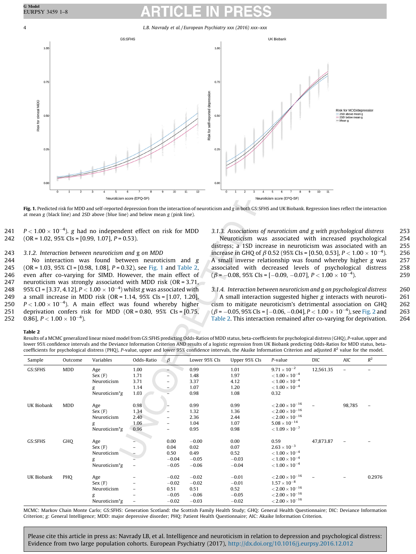<span id="page-4-0"></span>

Fig. 1. Predicted risk for MDD and self-reported depression from the interaction of neuroticism and g in both GS:SFHS and UK Biobank. Regression lines reflect the interaction at mean g (black line) and 2SD above (blue line) and below mean g (pink line).

241  $P < 1.00 \times 10^{-4}$ ). g had no independent effect on risk for MDD 242 (OR = 1.02, 95% CIs = [0.99, 1.07], P = 0.53).

# 243 3.1.2. Interaction between neuroticism and g on MDD

 No interaction was found between neuroticism and g (OR = 1.03, 95% CI = [0.98, 1.08], P = 0.32), see Fig. 1 and Table 2, even after co-varying for SIMD. However, the main effect of neuroticism was strongly associated with MDD risk (OR = 3.71,  $-$  95% CI = [3.37, 4.12],  $P$   $<$  1.00  $\times$  10 $^{-4}$ ) whilst g was associated with a small increase in MDD risk (OR = 1.14, 95% CIs = [1.07, 1.20],  $P < 1.00 \times 10^{-4}$ ). A main effect was found whereby higher deprivation confers risk for MDD (OR = 0.80, 95% CIs = [0.75, 252 0.86],  $P < 1.00 \times 10^{-4}$ ).

3.1.3. Associations of neuroticism and g with psychological distress 253 Neuroticism was associated with increased psychological 254 distress; a 1SD increase in neuroticism was associated with an 255 increase in GHQ of  $\beta$  0.52 (95% CIs = [0.50, 0.53],  $P < 1.00 \times 10^{-4}$ ). 256 A small inverse relationship was found whereby higher g was 257 associated with decreased levels of psychological distress 258  $(\beta = -0.08, 95\% \text{ CIs} = [-0.09, -0.07], P < 1.00 \times 10^{-4}).$  259

3.1.4. Interaction between neuroticism and g on psychological distress 260 A small interaction suggested higher g interacts with neuroti- 261 cism to mitigate neuroticism's detrimental association on GHQ 262  $(\beta = -0.05, 95\% \text{ CIs} = [-0.06, -0.04], P < 1.00 \times 10^{-4})$ , see [Fig.](#page-5-0) 2 and 263 Table 2. This interaction remained after co-varying for deprivation. 264

#### Table 2

Results of a MCMC generalized linear mixed model from GS:SFHS predicting Odds-Ratios of MDD status, beta-coefficients for psychological distress (GHQ), P-value, upper and lower 95% confidence intervals and the Deviance Information Criterion AND results of a logistic regression from UK Biobank predicting Odds-Ratios for MDD status, betacoefficients for psychological distress (PHQ), P-value, upper and lower 95% confidence intervals, the Akaike Information Criterion and adjusted  $R^2$  value for the model.

| Sample     | Outcome    | Variables                  | Odds-Ratio | $\beta$ | Lower 95% CIs | Upper 95% CIs | P-value                  | <b>DIC</b> | AIC    | $R^2$  |
|------------|------------|----------------------------|------------|---------|---------------|---------------|--------------------------|------------|--------|--------|
| GS:SFHS    | MDD        | Age                        | 1.00       |         | 0.99          | 1.01          | $9.71 \times 10^{-2}$    | 12,561.35  |        |        |
|            |            | Sex(F)                     | 1.71       |         | 1.48          | 1.97          | $< 1.00 \times 10^{-4}$  |            |        |        |
|            |            | Neuroticism                | 3.71       |         | 3.37          | 4.12          | $< 1.00 \times 10^{-4}$  |            |        |        |
|            |            | g                          | 1.14       |         | 1.07          | 1.20          | $< 1.00 \times 10^{-4}$  |            |        |        |
|            |            | Neuroticism <sup>*</sup> g | 1.03       |         | 0.98          | 1.08          | 0.32                     |            |        |        |
| UK Biobank | <b>MDD</b> | Age                        | 0.98       |         | 0.99          | 0.99          | $< 2.00 \times 10^{-16}$ |            | 98,785 |        |
|            |            | Sex(F)                     | 1.34       |         | 1.32          | 1.36          | $< 2.00 \times 10^{-16}$ |            |        |        |
|            |            | Neuroticism                | 2.40       |         | 2.36          | 2.44          | $< 2.00 \times 10^{-16}$ |            |        |        |
|            |            | g                          | 1.06       |         | 1.04          | 1.07          | $5.08 \times 10^{-14}$   |            |        |        |
|            |            | Neuroticism <sup>*</sup> g | 0.96       |         | 0.95          | 0.98          | $< 1.09 \times 10^{-7}$  |            |        |        |
|            |            |                            |            |         |               |               |                          |            |        |        |
| GS:SFHS    | GHQ        | Age                        |            | 0.00    | $-0.00$       | 0.00          | 0.59                     | 47,873.87  |        |        |
|            |            | Sex(F)                     |            | 0.04    | 0.02          | 0.07          | $2.63 \times 10^{-3}$    |            |        |        |
|            |            | Neuroticism                |            | 0.50    | 0.49          | 0.52          | $< 1.00 \times 10^{-4}$  |            |        |        |
|            |            | g                          |            | $-0.04$ | $-0.05$       | $-0.03$       | $< 1.00 \times 10^{-4}$  |            |        |        |
|            |            | Neuroticism <sup>*</sup> g |            | $-0.05$ | $-0.06$       | $-0.04$       | $< 1.00 \times 10^{-4}$  |            |        |        |
| UK Biobank | PHQ        | Age                        |            | $-0.02$ | $-0.02$       | $-0.01$       | $<\!2.00\times10^{-16}$  |            |        | 0.2976 |
|            |            | Sex(F)                     |            | $-0.02$ | $-0.02$       | $-0.01$       | $1.57\times10^{-8}$      |            |        |        |
|            |            | Neuroticism                |            | 0.51    | 0.51          | 0.52          | $< 2.00 \times 10^{-16}$ |            |        |        |
|            |            | g                          |            | $-0.05$ | $-0.06$       | $-0.05$       | $< 2.00 \times 10^{-16}$ |            |        |        |
|            |            | Neuroticism <sup>*</sup> g |            | $-0.02$ | $-0.03$       | $-0.02$       | $< 2.00 \times 10^{-16}$ |            |        |        |

MCMC: Markov Chain Monte Carlo; GS:SFHS: Generation Scotland: the Scottish Family Health Study; GHQ: General Health Questionnaire; DIC: Deviance Information Criterion; g: General Intelligence; MDD: major depressive disorder; PHQ: Patient Health Questionnaire; AIC: Akaike Information Criterion.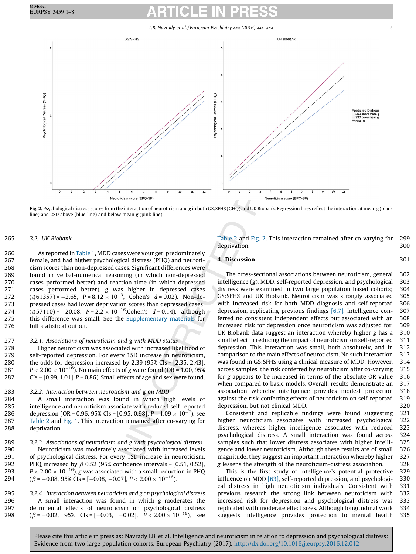L.B. Navrady et al. / European Psychiatry xxx (2016) xxx–xxx 5

<span id="page-5-0"></span>

Fig. 2. Psychological distress scores from the interaction of neuroticism and g in both GS:SFHS (GHQ) and UK Biobank. Regression lines reflect the interaction at mean g (black line) and 2SD above (blue line) and below mean g (pink line).

### 265 3.2. UK Biobank

 As reported in [Table](#page-2-0) 1, MDD cases were younger, predominately female, and had higher psychological distress (PHQ) and neuroti- cism scores than non-depressed cases. Significant differences were found in verbal-numerical reasoning (in which non-depressed cases performed better) and reaction time (in which depressed cases performed better). g was higher in depressed cases 272 (t(61357) = -2.65,  $P = 8.12 \times 10^{-3}$ , Cohen's d = 0.02). Non-de- pressed cases had lower deprivation scores than depressed cases; 274 (t(57110) = -20.08,  $P = 2.2 \times 10^{-16}$ , Cohen's d = 0.14), although 275 this difference was small. See the [Supplementary](#page-7-0) materials for full statistical output.

### 277 3.2.1. Associations of neuroticism and g with MDD status

 Higher neuroticism was associated with increased likelihood of self-reported depression. For every 1SD increase in neuroticism, the odds for depression increased by 2.39 (95% CIs = [2.35, 2.43],  $P < 2.00 \times 10^{-16}$ ). No main effects of g were found (OR = 1.00, 95%<br>282 CIs = [0.99, 1.01], P = 0.86). Small effects of age and sex were found.  $CIs = [0.99, 1.01], P = 0.86$ . Small effects of age and sex were found.

## 283 3.2.2. Interaction between neuroticism and g on MDD

 A small interaction was found in which high levels of intelligence and neuroticism associate with reduced self-reported 286 depression (OR = 0.96, 95% CIs = [0.95, 0.98],  $P = 1.09 \times 10^{-7}$ ), see [Table](#page-4-0) 2 and [Fig.](#page-4-0) 1. This interaction remained after co-varying for deprivation.

289 3.2.3. Associations of neuroticism and g with psychological distress 290 Neuroticism was moderately associated with increased levels 291 of psychological distress. For every 1SD increase in neuroticism,<br>292 PHO increased by  $\beta$  0.52 (95% confidence intervals = [0.51, 0.52], 292 PHQ increased by  $\beta$  0.52 (95% confidence intervals = [0.51, 0.52],<br>293  $P < 2.00 \times 10^{-16}$ ), g was associated with a small reduction in PHO 293  $P < 2.00 \times 10^{-16}$ ). g was associated with a small reduction in PHQ<br>294  $(\beta = -0.08, 95\% \text{ CIs} = [-0.08, -0.07], P < 2.00 \times 10^{-16})$ .  $(\beta = -0.08, 95\% \text{ CIs} = [-0.08, -0.07], P < 2.00 \times 10^{-16}).$ 

 3.2.4. Interaction between neuroticism and g on psychological distress A small interaction was found in which g moderates the detrimental effects of neuroticism on psychological distress  $(\beta = -0.02, 95\% \text{ CIs} = [-0.03, -0.02], P < 2.00 \times 10^{-16}), \text{ see}$  [Table](#page-4-0) 2 and Fig. 2. This interaction remained after co-varying for 299 deprivation. 300

### **4. Discussion 301**

The cross-sectional associations between neuroticism, general 302 intelligence (g), MDD, self-reported depression, and psychological 303 distress were examined in two large population based cohorts; 304 GS:SFHS and UK Biobank. Neuroticism was strongly associated 305 with increased risk for both MDD diagnosis and self-reported 306 depression, replicating previous findings [\[6,7\].](#page-7-0) Intelligence con- 307 ferred no consistent independent effects but associated with an 308 increased risk for depression once neuroticism was adjusted for. 309 UK Biobank data suggest an interaction whereby higher g has a 310 small effect in reducing the impact of neuroticism on self-reported 311 depression. This interaction was small, both absolutely, and in 312 comparison to the main effects of neuroticism. No such interaction 313 was found in GS:SFHS using a clinical measure of MDD. However, 314 across samples, the risk conferred by neuroticism after co-varying 315 for g appears to be increased in terms of the absolute OR value 316 when compared to basic models. Overall, results demonstrate an 317 association whereby intelligence provides modest protection 318 against the risk-conferring effects of neuroticism on self-reported 319 depression, but not clinical MDD. 320

Consistent and replicable findings were found suggesting 321 higher neuroticism associates with increased psychological 322 distress, whereas higher intelligence associates with reduced 323 psychological distress. A small interaction was found across 324 samples such that lower distress associates with higher intelli- 325 gence and lower neuroticism. Although these results are of small 326 magnitude, they suggest an important interaction whereby higher 327 g lessens the strength of the neuroticism-distress association. 328

This is the first study of intelligence's potential protective 329 influence on MDD [\[63\]](#page-8-0), self-reported depression, and psychologi- 330 cal distress in high neuroticism individuals. Consistent with 331 previous research the strong link between neuroticism with 332 increased risk for depression and psychological distress was 333 replicated with moderate effect sizes. Although longitudinal work 334 suggests intelligence provides protection to mental health 335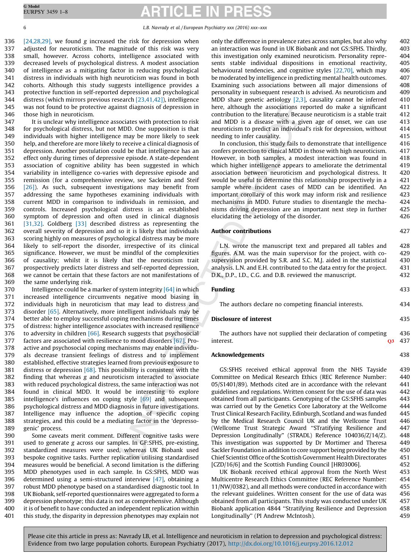[\[24,28,29\],](#page-7-0) we found g increased the risk for depression when adjusted for neuroticism. The magnitude of this risk was very small, however. Across cohorts, intelligence associated with decreased levels of psychological distress. A modest association of intelligence as a mitigating factor in reducing psychological distress in individuals with high neuroticism was found in both cohorts. Although this study suggests intelligence provides a protective function in self-reported depression and psychological distress (which mirrors previous research [\[23,41,42\]](#page-7-0)), intelligence was not found to be protective against diagnosis of depression in those high in neuroticism.

 It is unclear why intelligence associates with protection to risk for psychological distress, but not MDD. One supposition is that individuals with higher intelligence may be more likely to seek help, and therefore are more likely to receive a clinical diagnosis of depression. Another postulation could be that intelligence has an effect only during times of depressive episode. A state-dependent association of cognitive ability has been suggested in which variability in intelligence co-varies with depressive episode and remission (for a comprehensive review, see Sackeim and Steif [\[26\]](#page-7-0)). As such, subsequent investigations may benefit from addressing the same hypotheses examining individuals with current MDD in comparison to individuals in remission, and controls. Increased psychological distress is an established symptom of depression and often used in clinical diagnosis [\[31,32\].](#page-7-0) Goldberg [\[33\]](#page-7-0) described distress as representing the overall severity of depression and so it is likely that individuals scoring highly on measures of psychological distress may be more likely to self-report the disorder, irrespective of its clinical significance. However, we must be mindful of the complexities of causality; whilst it is likely that the neuroticism trait prospectively predicts later distress and self-reported depression, 368 we cannot be certain that these factors are not manifestations of the same underlying risk.

 Intelligence could be a marker of system integrity [\[64\]](#page-8-0) in which increased intelligence circumvents negative mood biasing in individuals high in neuroticism that may lead to distress and disorder [\[65\]](#page-8-0). Alternatively, more intelligent individuals may be better able to employ successful coping mechanisms during times of distress: higher intelligence associates with increased resilience 376 to adversity in children [\[66\].](#page-8-0) Research suggests that psychosocial factors are associated with resilience to mood disorders [\[67\]](#page-8-0). Pro- active and psychosocial coping mechanisms may enable individu- als decrease transient feelings of distress and to implement established, effective strategies learned from previous exposure to 381 distress or depression  $[68]$ . This possibility is consistent with the finding that whereas g and neuroticism interacted to associate with reduced psychological distress, the same interaction was not found in clinical MDD. It would be interesting to explore intelligence's influences on coping style [\[69\]](#page-8-0) and subsequent psychological distress and MDD diagnosis in future investigations. Intelligence may influence the adoption of specific coping strategies, and this could be a mediating factor in the 'depresso-genic' process.

 Some caveats merit comment. Different cognitive tasks were used to generate g across our samples. In GF:SFHS, pre-existing, standardized measures were used, whereas UK Biobank used bespoke cognitive tasks. Further replication utilising standardised measures would be beneficial. A second limitation is the differing MDD phenotypes used in each sample. In GS:SFHS, MDD was determined using a semi-structured interview [\[47\],](#page-7-0) obtaining a robust MDD phenotype based on a standardised diagnostic tool. In UK Biobank, self-reported questionnaires were aggregated to form a depression phenotype; this data is not as comprehensive. Although it is of benefit to have conducted an independent replication within this study, the disparity in depression phenotypes may explain not only the difference in prevalence rates across samples, but also why 402 an interaction was found in UK Biobank and not GS:SFHS. Thirdly, 403 this investigation only examined neuroticism. Personality repre- 404 sents stable individual dispositions in emotional reactivity, 405 behavioural tendencies, and cognitive styles [\[22,70\],](#page-7-0) which may 406 be moderated by intelligence in predicting mental health outcomes. 407 Examining such associations between all major dimensions of 408 personality in subsequent research is advised. As neuroticism and 409 MDD share genetic aetiology  $[2,3]$ , causality cannot be inferred 410 here, although the associations reported do make a significant 411 contribution to the literature. Because neuroticism is a stable trait 412 and MDD is a disease with a given age of onset, we can use 413 neuroticism to predict an individual's risk for depression, without 414 needing to infer causality. 415

In conclusion, this study fails to demonstrate that intelligence 416 confers protection to clinical MDD in those with high neuroticism. 417 However, in both samples, a modest interaction was found in 418 which higher intelligence appears to ameliorate the detrimental 419 association between neuroticism and psychological distress. It 420 would be useful to determine this relationship prospectively in a 421 sample where incident cases of MDD can be identified. An 422 important corollary of this work may inform risk and resilience 423 mechanisms in MDD. Future studies to disentangle the mecha- 424 nisms driving depression are an important next step in further 425 elucidating the aetiology of the disorder. 426

## Author contributions 427

L.N. wrote the manuscript text and prepared all tables and 428 figures. A.M. was the main supervisor for the project, with co- 429 supervision provided by S.R. and S.C. M.J. aided in the statistical 430 analysis. L.N. and E.H. contributed to the data entry for the project. 431 D.K., D.P., I.D., C.G. and D.B. reviewed the manuscript. 432

### Funding 433

The authors declare no competing financial interests. 434

#### Disclosure of interest 435

The authors have not supplied their declaration of competing 436 interest. Q3 437

#### Acknowledgements 438

GS:SFHS received ethical approval from the NHS Tayside 439 Committee on Medical Research Ethics (REC Reference Number: 440 05/S1401/89). Methods cited are in accordance with the relevant 441 guidelines and regulations. Written consent for the use of data was 442 obtained from all participants. Genotyping of the GS:SFHS samples 443 was carried out by the Genetics Core Laboratory at the Wellcome 444 Trust Clinical Research Facility, Edinburgh, Scotland and was funded 445 by the Medical Research Council UK and the Wellcome Trust 446 (Wellcome Trust Strategic Award ''STratifying Resilience and 447 Depression Longitudinally'' (STRADL) Reference 104036/Z/14/Z). 448 This investigation was supported by Dr Mortimer and Theresa 449 Sackler Foundation in addition to core support being provided by the 450 Chief Scientist Office ofthe Scottish Government Health Directorates 451 [CZD/16/6] and the Scottish Funding Council [HR03006]. 452

UK Biobank received ethical approval from the North West 453 Multicentre Research Ethics Committee (REC Reference Number: 454 11/NW/0382), and all methods were conducted in accordance with 455 the relevant guidelines. Written consent for the use of data was 456 obtained from all participants. This study was conducted under UK 457 Biobank application 4844 ''Stratifying Resilience and Depression 458 Longitudinally'' (PI Andrew McIntosh). 459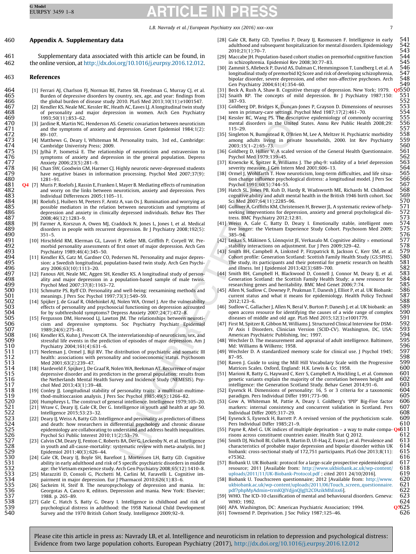# <span id="page-7-0"></span>460 Appendix A. Supplementary data

461 Supplementary data associated with this article can be found, in 462 the online version, at [http://dx.doi.org/10.1016/j.eurpsy.2016.12.012.](http://dx.doi.org/10.1016/j.eurpsy.2016.12.012)

# 463 References

- 464 [1] Ferrari AJ, Charlson FJ, Norman RE, Patten SB, Freedman G, Murray CJ, et al.<br>465 **Burden of depressive disorders by country**, sex, age, and year: findings from 465 Burden of depressive disorders by country, sex, age, and year: findings from<br>466 the global burden of disease study 2010. PLoS Med 2013;10(11):e1001547. 466 the global burden of disease study 2010. PLoS Med 2013;10(11):e1001547.<br>467 [2] Kendler KS, Neale MC, Kessler RC, Heath AC, Eaves LJ. A longitudinal twin study
- 467 [2] Kendler KS, Neale MC, Kessler RC, Heath AC, Eaves LJ. A longitudinal twin study<br>468 of personality and major depression in women. Arch Gen Psychiatry 468 of personality and major depression in women. Arch Gen Psychiatry 469 1993;50(11):853-62.<br>470 131 Jardine R. Martin NG.
- 470 [3] Jardine R, Martin NG, Henderson AS. Genetic covariation between neuroticism<br>471 **In and the symptoms of anxiety and depression**. Genet Epidemiol 1984:1(2): 471 and the symptoms of anxiety and depression. Genet Epidemiol 1984;1(2):<br>472 89-107. 472 89-107.<br>473 [4] Matthey
- 473 [4] Matthews G, Deary I, Whiteman M. Personality traits, 3rd ed., Cambridge:<br>474 **Cambridge Univeristy Press**; 2009. 474 Cambridge Univeristy Press; 2009.<br>475 151 Ivlhä P. Isometsä E. The relation
- 475 [5] Jylhä P, Isometsä E. The relationship of neuroticism and extraversion to 476 symptoms of anxiety and depression in the general population. Depress 476 symptoms of anxiety and depression in the general population. Depress
- 477 Anxiety 2006;23(5):281-9.<br>478 [6] Chan SW, Goodwin GM, Har 478 [6] Chan SW, Goodwin GM, Harmer CJ. Highly neurotic never-depressed students<br>479 have negative biases in information processing. Psychol Med 2007;37(9): 479 have negative biases in information processing. Psychol Med 2007;37(9): 480 1281-91.<br>481 **Q4** [7] Muris P, F
- 481 **Q4** [7] Muris P, Roelofs J, Rassin E, Franken I, Mayer B. Mediating effects of rumination 482 and worry on the links between neuroticism. anxiety and depression. Pers 482 and worry on the links between neuroticism, anxiety and depression. Pers<br>483 Individual Differrences 2005;1105-11. 483 Individual Differrences 2005;1105–11.<br>484 [8] Roelofs J, Huibers M, Peeters F, Arntz A,
- 484 [8] Roelofs J, Huibers M, Peeters F, Arntz A, van Os J. Rumination and worrying as 485 [18] possible mediators in the relation between neuroticism and symptoms of 485 possible mediators in the relation between neuroticism and symptoms of a 486 depression and anxiety in clinically depressed individuals. Behav Res Ther 486 depression and anxiety in clinically depressed individuals. Behav Res Ther<br>487 2008:46(12):1283-9. 487 2008;46(12):1283–9.
- 488 [9] Farmer A, Korszun A, Owen MJ, Craddock N, Jones L, Jones I, et al. Medical<br>489 disorders in people with recurrent depression. Br J Psychiatry 2008;192(5): 489 disorders in people with recurrent depression. Br J Psychiatry 2008;192(5):
- 490 351–5.<br>491 [10] Hirsch 491 [10] Hirschfeld RM, Klerman GL, Lavori P, Keller MB, Griffith P, Coryell W. Pre-<br>492 morbid personality assessments of first onset of maior depression. Arch Gen 492 morbid personality assessments of first onset of major depression. Arch Gen 493 Psychiatry 1989;46(4):345–50.
- 494 [11] Kendler KS, Gatz M, Gardner CO, Pedersen NL. Personality and major depres-<br>495 sion: a Swedish longitudinal. population-based twin study. Arch Gen Psychi-495 sion: a Swedish longitudinal, population-based twin study. Arch Gen Psychi-496 atry 2006;63(10):1113–20.
- 497 [12] Fanous AH, Neale MC, Aggen SH, Kendler KS. A longitudinal study of person-<br>498 **a** ality and maior depression in a population-based sample of male twins. 498 ality and major depression in a population-based sample of male twins. 499 Psychol Med 2007;37(8):1163-72.<br>500 131 Schmutte PS, Ryff CD, Personality
- 500 [13] Schmutte PS, Ryff CD. Personality and well-being: reexamining methods and<br>501 meanings. J Pers Soc Psychol 1997;73(3):549–59.<br>502 [14] Spiiker L de Graaf R. Oldehinkel AL Nolen WA. Ormel L Are the vulnerability 501 meanings. J Pers Soc Psychol 1997;73(3):549–59.
- 502 [14] Spijker J, de Graaf R, Oldehinkel AJ, Nolen WA, Ormel J. Are the vulnerability 503 effects of personality and psychosocial functioning on depression accounted 504 for by subthreshold symptoms? Depress Anxiety 2007 effects of personality and psychosocial functioning on depression accounted 504 for by subthreshold symptoms? Depress Anxiety 2007;24(7):472–8.
- 505 [15] Fergusson DM, Horwood LJ, Lawton JM. The relationships between neuroti-506 cism and depressive symptoms. Soc Psychiatry Psychiatr Epidemiol 507 1989;24(6):275–81.
- 508 [16] Kendler KS, Kuhn J, Prescott CA. The interrelationship of neuroticism, sex, and 509 stressful life events in the prediction of episodes of major depression. Am J<br>510 Psychiatry 2004;161(4):631–6. stressful life events in the prediction of episodes of major depression. Am J
- 510 Psychiatry 2004;161(4):631–6.<br>511 [17] Neeleman J, Ormel J, Bijl RV. T<br>512 health: associations with perso [17] Neeleman J, Ormel J, Bijl RV. The distribution of psychiatric and somatic III Med 2001;63(2):239-47.
- 512 health: associations with personality and socioeconomic status. Psychosom<br>513 Med 2001;63(2):239–47.<br>514 [18] Hardeveld F, Spijker J, De Graaf R, Nolen WA, Beekman AT. Recurrence of major<br>615 depressive disorder and it [18] Hardeveld F, Spijker J, De Graaf R, Nolen WA, Beekman AT. Recurrence of major depressive disorder and its predictors in the general population: results from the Netherlands Mental Health Survey and Incidence Study (NEMESIS). Psychol Med 2013;43(1):39-48.
- 518 [19] Conley JJ. Longitudinal stability of personality traits: a multitrait-multime-<br>519 thod-multioccasion analysis. J Pers Soc Psychol 1985;49(5):1266–82. 519 thod-multioccasion analysis. J Pers Soc Psychol 1985;49(5):1266-82.<br>520 [20] Humphreys L. The construct of general intellience. Intelligence 1979;1
- 520 [20] Humphreys L. The construct of general intellience. Intelligence 1979;105–20. 522 Intelligence 2015;53:23–32.
- 521 [21] Wraw C, Deary IJ, Gale CR, Der G. Intelligence in youth and health at age 50.<br>522 Intelligence 2015;53:23-32.<br>523 [22] Deary IJ, Weiss A, Batty GD. Intelligence and personality as predictors of illness<br>524 and dea [22] Deary IJ, Weiss A, Batty GD. Intelligence and personality as predictors of illness 524 and death: how researchers in differential psychology and chronic disease<br>525 epidemiology are collaborating to understand and address health inequalities.<br>526 Psychol Sci Public Interest 2010;11(2):53–79. epidemiology are collaborating to understand and address health inequalities. 526 Psychol Sci Public Interest 2010;11(2):53–79.
- 527 [23] Calvin CM, Deary IJ, Fenton C, Roberts BA, Der G, Leckenby N, et al. Intelligence 528 in youth and all-cause-mortality: systematic review with meta-analysis. Int J 529 Epidemiol 2011;40(3):626–44.
- 530 [24] Gale CR, Deary IJ, Boyle SH, Barefoot J, Mortensen LH, Batty GD. Cognitive ability in early adulthood and risk of 5 specific psychiatric disorders in middle 532 age: the Vietnam experience study. Arch Gen Psychiat ability in early adulthood and risk of 5 specific psychiatric disorders in middle
- 532 age: the Vietnam experience study. Arch Gen Psychiatry 2008;65(12):1410–8.<br>533 [25] Marazziti D, Consoli G, Picchetti M, Carlini M, Faravelli L. Cognitive im-<br>534 pairment in major depression. Eur J Pharmacol 2010;626( [25] Marazziti D, Consoli G, Picchetti M, Carlini M, Faravelli L. Cognitive im-534 pairment in major depression. Eur J Pharmacol 2010;626(1):83-6.<br>535 [26] Sackeim H, Steif B. The neuropsychology of depression and m
- 535 [26] Sackeim H, Steif B. The neuropsychology of depression and mania. In:<br>536 Georgotas A, Cancro R, editors. Depression and mania. New York: Elsevier;<br>537 1988. p. 265–89. Georgotas A, Cancro R, editors. Depression and mania. New York: Elsevier; 537 1988. p. 265–89.
- 538 [27] Gale C, Hatch S, Batty G, Deary I. Intelligence in childhood and risk of 539 psychological distress in adulthood: the 1958 National Child Development 539 psychological distress in adulthood: the 1958 National Child Development<br>540 Survey and the 1970 British Cohort Study Intelligence 2009:92-9 Survey and the 1970 British Cohort Study. Intelligence 2009;92-9.
- [28] Gale CR, Batty GD, Tynelius P, Deary IJ, Rasmussen F. Intelligence in early 541 adulthood and subsequent hospitalization for mental disorders. Epidemiology 542<br>2010:21(1):70-7<br>543 543 2010;21(1):70–7.<br>Maccabe JH. Population-based cohort studies on premorbid cognitive function 544
- [29] Maccabe JH. Population-based cohort studies on premorbid cognitive function 544 in schizophrenia. Epidemiol Rev 2008;30:77–83.<br>Zammit S, Allebeck P, David AS, Dalman C, Hemmingsson T, Lundberg I, et al. A 546
- [30] Zammit S, Allebeck P, David AS, Dalman C, Hemmingsson T, Lundberg I, et al. A 546 longitudinal study of premorbid IQ Score and risk of developing schizophrenia, 547<br>bipolar disorder, severe depression, and other non-affective psychoses. Arch 548 bipolar disorder, severe depression, and other non-affective psychoses. Arch 548<br>Gen Psychiatry 2004;61(4):354–60. Gen Psychiatry 2004;61(4):354–60.<br>Reck A Rush A Shaw B Cognitive therany of depression New York: 1979 05550
- [31] Beck A, Rush A, Shaw B. Cognitive therapy of depression. New York; 1979.  $Q5550$ <br>[32] Snaith RP. The concepts of mild depression. Br | Psychiatry 1987;150: 551
- [32] Snaith RP. The concepts of mild depression. Br J Psychiatry 1987;150: 551 387–93. 552 [33] Goldberg DP, Bridges K, Duncan-Jones P, Grayson D. Dimensions of neuroses 553
- seen in primary-care settings. Psychol Med 1987;17(2):461-70. 554<br>Kessler RC, Wang PS. The descriptive epidemiology of commonly occurring 555
- [34] Kessler RC, Wang PS. The descriptive epidemiology of commonly occurring 555 mental disorders in the United States. Annu Rev Public Health 2008;29: 556 mental disorders in the United States. Annu Rev Public Health 2008;29: 556<br>115-29. 557 115–29. 557 [35] Singleton N, Bumpstead R, O'Brien M, Lee A, Meltzer H. Psychiatric morbidity 558
- among adults living in private households, 2000. Int Rev Psychiatry 559 2003;15(1–2):65–73. 560
- [36] Goldberg D, Hillier V. A scaled version of the General Health Questionnaire. 561 Psychol Med 1979;139–45.<br>Kroencke K, Spitzer R, Williams J. The phq-9: validity of a brief depression 563
- [37] Kroencke K, Spitzer R, Williams J. The phq-9: validity of a brief depression 563 severity measure. J Gen Intern Med 2001;606-13.<br>Ormel J, Wohlfarth T. How neuroticism, long-term difficulties, and life situa- 565
- [38] Ormel J, Wohlfarth T. How neuroticism, long-term difficulties, and life situa- 565 tion change influence psychological distress: a longitudinal model. J Pers Soc 566<br>Psychol 1991;60(5):744–55. Psychol 1991;60(5):744–55.<br>Hatch SL, Jones PB, Kuh D, Hardy R, Wadsworth ME, Richards M. Childhood 568
- [39] Hatch SL, Jones PB, Kuh D, Hardy R, Wadsworth ME, Richards M. Childhood 568 cognitive ability and adult mental health in the British 1946 birth cohort. Soc 569 cognitive ability and adult mental health in the British 1946 birth cohort. Soc 569 Sci Med 2007;64(11):2285–96.<br>Gulliver A, Griffiths KM, Christensen H, Brewer JL. A systematic review of help- 571
- [40] Gulliver A, Griffiths KM, Christensen H, Brewer JL. A systematic review of help- 571 seeking interventions for depression, anxiety and general psychological dis-<br>tress. BMC Psychiatry 2012;12:81. 573 tress. BMC Psychiatry 2012;12:81. 573
- [41] Weiss A, Gale C, Batty D, Deary I. Emotionally stable, intelligent men 574 live longer: the Vietnam Experience Study Cohort. Psychosom Med 2009; 575<br>385–94. 576<br>Leikas S, Mäkinen S, Lönnqvist JE, Verkasalo M. Cognitive ability × emotional 577 576<br>Iapi 1385–94. S76. 576. seikas S, Mäkinen S, Lönnqvist JE, Verkasalo M. Cognitive ability × emotional 577
- stability interactions on adjustment. Eur J Pers 2009;329–42. 578<br>Smith BH, Campbell A, Linksted P, Fitzpatrick B, Jackson C, Kerr SM, et al. 579
- [43] Smith BH, Campbell A, Linksted P, Fitzpatrick B, Jackson C, Kerr SM, et al. 579 Cohort profile: Generation Scotland: Scottish Family Health Study (GS:SFHS). 580<br>The study, its participants and their potential for genetic research on health 581 The study, its participants and their potential for genetic research on health  $581$  and illness. Int J Epidemiol 2013;42(3):689–700. and illness. Int J Epidemiol 2013;42(3):689–700.<br>Smith BH, Campbell H, Blackwood D, Connell J, Connor M, Deary IJ, et al. 583
- [44] Smith BH, Campbell H, Blackwood D, Connell J, Connor M, Deary IJ, et al. 583 Generation Scotland: the Scottish Family Health Study; a new resource for 584 researching genes and heritability. BMC Med Genet 2006;7:74. 585
- [45] Allen N, Sudlow C, Downey P, Peakman T, Danesh J, Elliot P, et al. UK Biobank: 586 current status and what it means for epidemiology. Health Policy Technol 587 2012;123–6. 588
- [46] Sudlow C, Gallacher J, Allen N, Beral V, Burton P, Danesh J, et al. UK biobank: an 589 open access resource for identifying the causes of a wide range of complex 590 diseases of middle and old age. PLoS Med 2015;12(3):e1001779. diseases of middle and old age. PLoS Med 2015;12(3):e1001779.<br>First M, Spitzer R, Gibbon M, Williams J. Structured Clinical Interview for DSM- 592
- [47] First M, Spitzer R, Gibbon M, Williams J. Structured Clinical Interview for DSM- 592 IV Axis I Disorders, Clinician Version (SCID-CV). Washington, DC, USA: 593 American Psychiatric Publishing, Inc; 1997.<br>Wechsler D. The measurement and appraisal of adult intelligence. Baltimore. 595
- [48] Wechsler D. The measurement and appraisal of adult intelligence. Baltimore, 595 Md: Williams & Wilkens; 1958. 596
- [49] Wechsler D. A standardized memory scale for clinical use. J Psychol 1945; 597 87–95. 598 [50] Raven J. Guide to using the Mill Hill Vocabulary Scale with the Progressive 599
- Matrices Scales. Oxford, England: H.K. Lewis & Co; 1958.<br>Marioni R Batty G. Hayward C. Kerr S. Campbell A. Hockling L. et al. Common 601
- [51] Marioni R, Batty G, Hayward C, Kerr S, Campbell A, Hockling L, et al. Common 601 genetic variants explain the majority of the correlation between height and 602<br>intelligence: the Generation Scotland Study Behay Genet 2014:91-6 603 intelligence: the Generation Scotland Study. Behav Genet 2014;91–6. 603<br>Eysenck H. Dimensions of personality: 16, 5 or 3 criteria for a taxonomic 604
- [52] Eysenck H. Dimensions of personality: 16, 5 or 3 criteria for a taxonomic 604 paradigm. Pers Individual Differ 1991;773–90.<br>Gow A. Whiteman M. Pattie A. Deary L. Goldberg's 'IPIP' Big-Five factor – 606
- [53] Gow A, Whiteman M, Pattie A, Deary I. Goldberg's 'IPIP' Big-Five factor 606 markers: internal consistency and concurrent validation in Scotland. Pers 607 Individual Differ  $2005:317-29$ .
- [54] Eysenck S, Eysenck H, Barrett P. A revised version of the psychoticism scale. 609 Pers Individual Differ 1985;21-9.
- [55] Payne R, Abel G. UK indices of multiple deprivation a way to make compa- Q6611
- risons across constituent countries easier. Health Stat Q 2012. 612<br>Smith DL Nicholl BL Cullen B. Martin D. Ul-Hag Z. Evans L et al. Prevalence and 613 [56] Smith DJ, Nicholl BI, Cullen B, Martin D, Ul-Haq Z, Evans J, et al. Prevalence and 613 characteristics of probable major depression and bipolar disorder within UK 614<br>biobank: cross-sectional study of 172.751 participants. PLoS One 2013;8(11): 615 biobank: cross-sectional study of 172,751 participants. PLoS One 2013;8(11): e75362. 616
- [57] Biobank U. UK Biobank: protocol for a large-scale prospective epidemiological 617 resource; 2011 [Available from: [http://www.ukbiobank.ac.uk/wp-content/](http://www.ukbiobank.ac.uk/wp-content/uploads/2011/11/UK-Biobank-Protocol.pdf) 618
- [uploads/2011/11/UK-Biobank-Protocol.pdf](http://www.ukbiobank.ac.uk/wp-content/uploads/2011/11/UK-Biobank-Protocol.pdf) ; cited 2011 24/10/2016]. 619<br>Biobank U. Touchscreen questionnaire; 2012 [Available from: http://www. 620 [58] Biobank U. Touchscreen questionnaire; 2012 [Available from: [http://www.](http://www.ukbiobank.ac.uk/wp-content/uploads/2011/06/Touch_screen_questionnaire.pdf?phpMyAdmin=trmKQIYdjjnQlgJ%2CfAzikMhEnx6) 620 [ukbiobank.ac.uk/wp-content/uploads/2011/06/Touch\\_screen\\_questionnaire.](http://www.ukbiobank.ac.uk/wp-content/uploads/2011/06/Touch_screen_questionnaire.pdf?phpMyAdmin=trmKQIYdjjnQlgJ%2CfAzikMhEnx6) 621 [pdf?phpMyAdmin=trmKQIYdjjnQlgJ%2CfAzikMhEnx6\]](http://www.ukbiobank.ac.uk/wp-content/uploads/2011/06/Touch_screen_questionnaire.pdf?phpMyAdmin=trmKQIYdjjnQlgJ%2CfAzikMhEnx6).<br>WHO. The ICD-10 classification of mental and behavioural disorders. Geneva: 623
- [59] WHO. The ICD-10 classification of mental and behavioural disorders. Geneva: 623 WHO; 1992. 624<br>APA. Washington, DC: American Psychiatric Association; 1994. **Q7625**
- [60] APA. Washington, DC: American Psychiatric Association; 1994. **Q7625**<br>[61] Townsend P. Deprivation. J Soc Policy 1987;125–46. **G86**
- [61] Townsend P. Deprivation. J Soc Policy 1987;125-46.